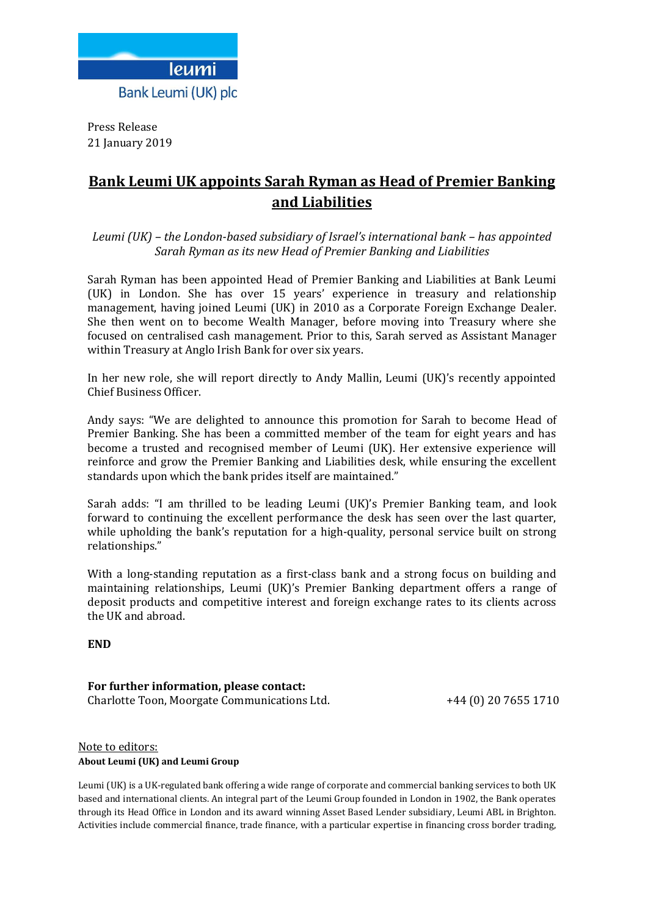

Press Release 21 January 2019

## **Bank Leumi UK appoints Sarah Ryman as Head of Premier Banking and Liabilities**

*Leumi (UK) – the London-based subsidiary of Israel's international bank – has appointed Sarah Ryman as its new Head of Premier Banking and Liabilities*

Sarah Ryman has been appointed Head of Premier Banking and Liabilities at Bank Leumi (UK) in London. She has over 15 years' experience in treasury and relationship management, having joined Leumi (UK) in 2010 as a Corporate Foreign Exchange Dealer. She then went on to become Wealth Manager, before moving into Treasury where she focused on centralised cash management. Prior to this, Sarah served as Assistant Manager within Treasury at Anglo Irish Bank for over six years.

In her new role, she will report directly to Andy Mallin, Leumi (UK)'s recently appointed Chief Business Officer.

Andy says: "We are delighted to announce this promotion for Sarah to become Head of Premier Banking. She has been a committed member of the team for eight years and has become a trusted and recognised member of Leumi (UK). Her extensive experience will reinforce and grow the Premier Banking and Liabilities desk, while ensuring the excellent standards upon which the bank prides itself are maintained."

Sarah adds: "I am thrilled to be leading Leumi (UK)'s Premier Banking team, and look forward to continuing the excellent performance the desk has seen over the last quarter, while upholding the bank's reputation for a high-quality, personal service built on strong relationships."

With a long-standing reputation as a first-class bank and a strong focus on building and maintaining relationships, Leumi (UK)'s Premier Banking department offers a range of deposit products and competitive interest and foreign exchange rates to its clients across the UK and abroad.

**END**

**For further information, please contact:** Charlotte Toon, Moorgate Communications Ltd. +44 (0) 20 7655 1710

## Note to editors: **About Leumi (UK) and Leumi Group**

Leumi (UK) is a UK-regulated bank offering a wide range of corporate and commercial banking services to both UK based and international clients. An integral part of the Leumi Group founded in London in 1902, the Bank operates through its Head Office in London and its award winning Asset Based Lender subsidiary, Leumi ABL in Brighton. Activities include commercial finance, trade finance, with a particular expertise in financing cross border trading,